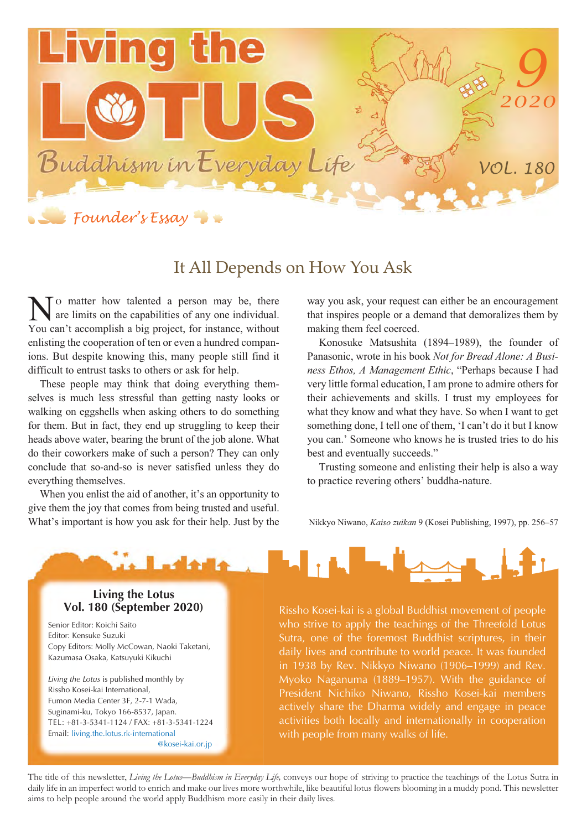

## It All Depends on How You Ask

- matter how talented a person may be, there are limits on the capabilities of any one individual. No matter how talented a person may be, there are limits on the capabilities of any one individual.<br>You can't accomplish a big project, for instance, without enlisting the cooperation of ten or even a hundred companions. But despite knowing this, many people still find it difficult to entrust tasks to others or ask for help.

These people may think that doing everything themselves is much less stressful than getting nasty looks or walking on eggshells when asking others to do something for them. But in fact, they end up struggling to keep their heads above water, bearing the brunt of the job alone. What do their coworkers make of such a person? They can only conclude that so-and-so is never satisfied unless they do everything themselves.

When you enlist the aid of another, it's an opportunity to give them the joy that comes from being trusted and useful. What's important is how you ask for their help. Just by the

way you ask, your request can either be an encouragement that inspires people or a demand that demoralizes them by making them feel coerced.

Konosuke Matsushita (1894–1989), the founder of Panasonic, wrote in his book *Not for Bread Alone: A Business Ethos, A Management Ethic*, "Perhaps because I had very little formal education, I am prone to admire others for their achievements and skills. I trust my employees for what they know and what they have. So when I want to get something done, I tell one of them, 'I can't do it but I know you can.' Someone who knows he is trusted tries to do his best and eventually succeeds."

Trusting someone and enlisting their help is also a way to practice revering others' buddha-nature.

Nikkyo Niwano, *Kaiso zuikan* 9 (Kosei Publishing, 1997), pp. 256–57



## **Living the Lotus**<br>**Vol. 180 (September 2020)**

Senior Editor: Koichi Saito Editor: Kensuke Suzuki Copy Editors: Molly McCowan, Naoki Taketani, Kazumasa Osaka, Katsuyuki Kikuchi

*Living the Lotus* is published monthly by Rissho Kosei-kai International, Fumon Media Center 3F, 2-7-1 Wada, Suginami-ku, Tokyo 166-8537, Japan. TEL: +81-3-5341-1124 / FAX: +81-3-5341-1224 Email: living.the.lotus.rk-international @kosei-kai.or.jp

Rissho Kosei-kai is a global Buddhist movement of people who strive to apply the teachings of the Threefold Lotus Sutra, one of the foremost Buddhist scriptures, in their daily lives and contribute to world peace. It was founded in 1938 by Rev. Nikkyo Niwano (1906–1999) and Rev. Myoko Naganuma (1889–1957). With the guidance of President Nichiko Niwano, Rissho Kosei-kai members actively share the Dharma widely and engage in peace activities both locally and internationally in cooperation with people from many walks of life.

The title of this newsletter, *Living the Lotus—Buddhism in Everyday Life,* conveys our hope of striving to practice the teachings of the Lotus Sutra in daily life in an imperfect world to enrich and make our lives more worthwhile, like beautiful lotus flowers blooming in a muddy pond. This newsletter aims to help people around the world apply Buddhism more easily in their daily lives.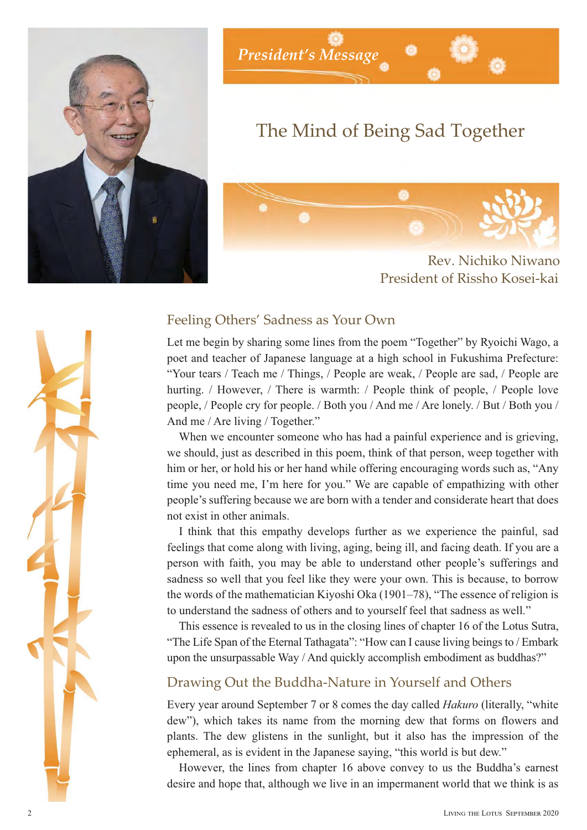



## The Mind of Being Sad Together



Rev. Nichiko Niwano President of Rissho Kosei-kai

### Feeling Others' Sadness as Your Own

Let me begin by sharing some lines from the poem "Together" by Ryoichi Wago, a poet and teacher of Japanese language at a high school in Fukushima Prefecture: "Your tears / Teach me / Things, / People are weak, / People are sad, / People are hurting. / However, / There is warmth: / People think of people, / People love people, / People cry for people. / Both you / And me / Are lonely. / But / Both you / And me / Are living / Together."

When we encounter someone who has had a painful experience and is grieving, we should, just as described in this poem, think of that person, weep together with him or her, or hold his or her hand while offering encouraging words such as, "Any time you need me, I'm here for you." We are capable of empathizing with other people's suffering because we are born with a tender and considerate heart that does not exist in other animals.

I think that this empathy develops further as we experience the painful, sad feelings that come along with living, aging, being ill, and facing death. If you are a person with faith, you may be able to understand other people's sufferings and sadness so well that you feel like they were your own. This is because, to borrow the words of the mathematician Kiyoshi Oka (1901–78), "The essence of religion is to understand the sadness of others and to yourself feel that sadness as well."

This essence is revealed to us in the closing lines of chapter 16 of the Lotus Sutra, "The Life Span of the Eternal Tathagata": "How can I cause living beings to / Embark upon the unsurpassable Way / And quickly accomplish embodiment as buddhas?"

### Drawing Out the Buddha-Nature in Yourself and Others

Every year around September 7 or 8 comes the day called *Hakuro* (literally, "white dew"), which takes its name from the morning dew that forms on flowers and plants. The dew glistens in the sunlight, but it also has the impression of the ephemeral, as is evident in the Japanese saying, "this world is but dew."

However, the lines from chapter 16 above convey to us the Buddha's earnest desire and hope that, although we live in an impermanent world that we think is as

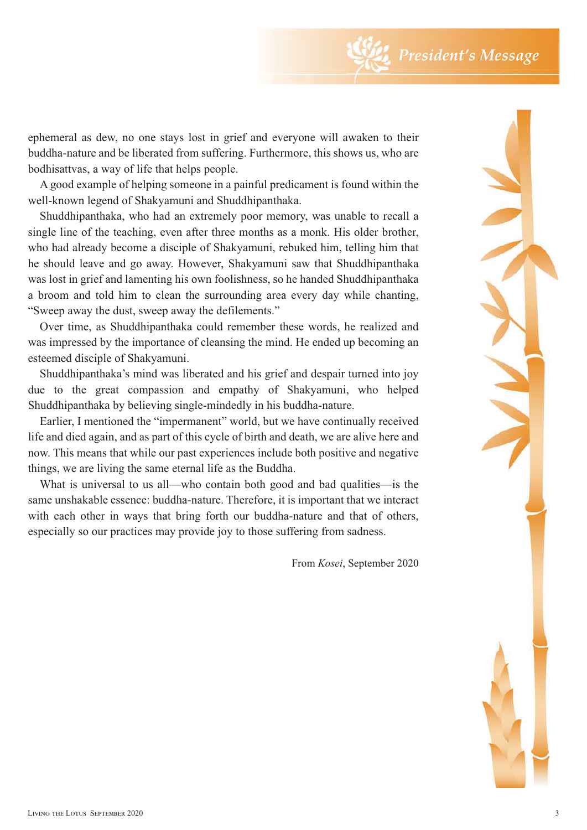ephemeral as dew, no one stays lost in grief and everyone will awaken to their buddha-nature and be liberated from suffering. Furthermore, this shows us, who are bodhisattvas, a way of life that helps people.

A good example of helping someone in a painful predicament is found within the well-known legend of Shakyamuni and Shuddhipanthaka.

Shuddhipanthaka, who had an extremely poor memory, was unable to recall a single line of the teaching, even after three months as a monk. His older brother, who had already become a disciple of Shakyamuni, rebuked him, telling him that he should leave and go away. However, Shakyamuni saw that Shuddhipanthaka was lost in grief and lamenting his own foolishness, so he handed Shuddhipanthaka a broom and told him to clean the surrounding area every day while chanting, "Sweep away the dust, sweep away the defilements."

Over time, as Shuddhipanthaka could remember these words, he realized and was impressed by the importance of cleansing the mind. He ended up becoming an esteemed disciple of Shakyamuni.

Shuddhipanthaka's mind was liberated and his grief and despair turned into joy due to the great compassion and empathy of Shakyamuni, who helped Shuddhipanthaka by believing single-mindedly in his buddha-nature.

Earlier, I mentioned the "impermanent" world, but we have continually received life and died again, and as part of this cycle of birth and death, we are alive here and now. This means that while our past experiences include both positive and negative things, we are living the same eternal life as the Buddha.

What is universal to us all—who contain both good and bad qualities—is the same unshakable essence: buddha-nature. Therefore, it is important that we interact with each other in ways that bring forth our buddha-nature and that of others, especially so our practices may provide joy to those suffering from sadness.

From *Kosei*, September 2020

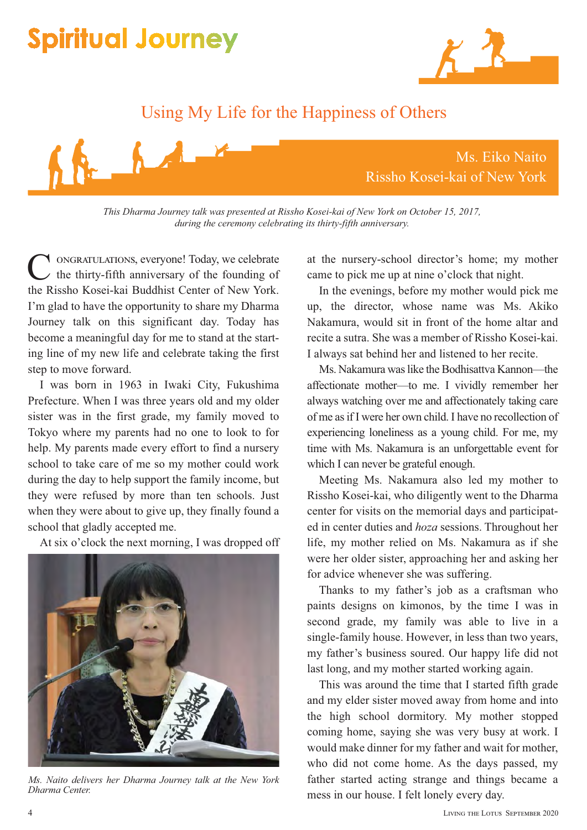

## Using My Life for the Happiness of Others



*This Dharma Journey talk was presented at Rissho Kosei-kai of New York on October 15, 2017, during the ceremony celebrating its thirty-fifth anniversary.*

ongratulations, everyone! Today, we celebrate the thirty-fifth anniversary of the founding of the Rissho Kosei-kai Buddhist Center of New York. I'm glad to have the opportunity to share my Dharma Journey talk on this significant day. Today has become a meaningful day for me to stand at the starting line of my new life and celebrate taking the first step to move forward. C<sup></sup>

I was born in 1963 in Iwaki City, Fukushima Prefecture. When I was three years old and my older sister was in the first grade, my family moved to Tokyo where my parents had no one to look to for help. My parents made every effort to find a nursery school to take care of me so my mother could work during the day to help support the family income, but they were refused by more than ten schools. Just when they were about to give up, they finally found a school that gladly accepted me.

At six o'clock the next morning, I was dropped off



*Ms. Naito delivers her Dharma Journey talk at the New York Dharma Center.*

at the nursery-school director's home; my mother came to pick me up at nine o'clock that night.

In the evenings, before my mother would pick me up, the director, whose name was Ms. Akiko Nakamura, would sit in front of the home altar and recite a sutra. She was a member of Rissho Kosei-kai. I always sat behind her and listened to her recite.

Ms. Nakamura was like the Bodhisattva Kannon—the affectionate mother—to me. I vividly remember her always watching over me and affectionately taking care of me as if I were her own child. I have no recollection of experiencing loneliness as a young child. For me, my time with Ms. Nakamura is an unforgettable event for which I can never be grateful enough.

Meeting Ms. Nakamura also led my mother to Rissho Kosei-kai, who diligently went to the Dharma center for visits on the memorial days and participated in center duties and *hoza* sessions. Throughout her life, my mother relied on Ms. Nakamura as if she were her older sister, approaching her and asking her for advice whenever she was suffering.

Thanks to my father's job as a craftsman who paints designs on kimonos, by the time I was in second grade, my family was able to live in a single-family house. However, in less than two years, my father's business soured. Our happy life did not last long, and my mother started working again.

This was around the time that I started fifth grade and my elder sister moved away from home and into the high school dormitory. My mother stopped coming home, saying she was very busy at work. I would make dinner for my father and wait for mother, who did not come home. As the days passed, my father started acting strange and things became a mess in our house. I felt lonely every day.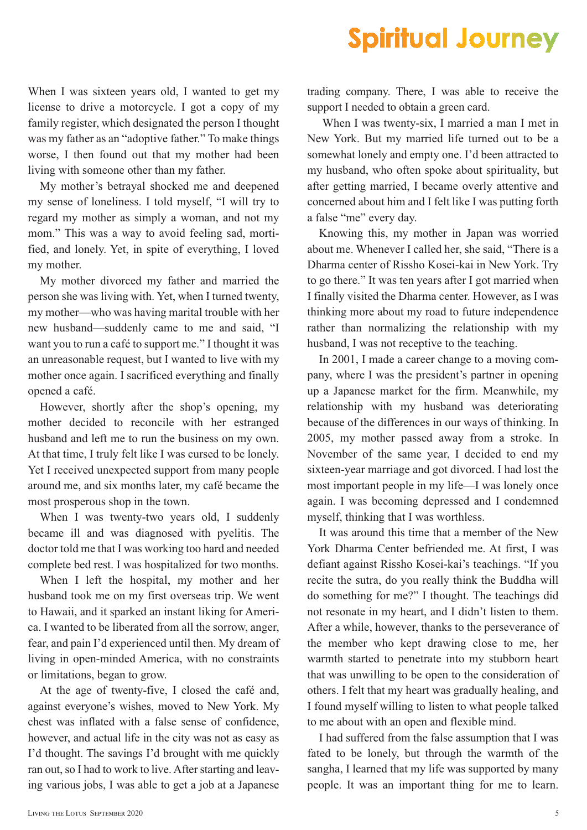When I was sixteen years old, I wanted to get my license to drive a motorcycle. I got a copy of my family register, which designated the person I thought was my father as an "adoptive father." To make things worse, I then found out that my mother had been living with someone other than my father.

My mother's betrayal shocked me and deepened my sense of loneliness. I told myself, "I will try to regard my mother as simply a woman, and not my mom." This was a way to avoid feeling sad, mortified, and lonely. Yet, in spite of everything, I loved my mother.

My mother divorced my father and married the person she was living with. Yet, when I turned twenty, my mother—who was having marital trouble with her new husband—suddenly came to me and said, "I want you to run a café to support me." I thought it was an unreasonable request, but I wanted to live with my mother once again. I sacrificed everything and finally opened a café.

However, shortly after the shop's opening, my mother decided to reconcile with her estranged husband and left me to run the business on my own. At that time, I truly felt like I was cursed to be lonely. Yet I received unexpected support from many people around me, and six months later, my café became the most prosperous shop in the town.

When I was twenty-two years old, I suddenly became ill and was diagnosed with pyelitis. The doctor told me that I was working too hard and needed complete bed rest. I was hospitalized for two months.

When I left the hospital, my mother and her husband took me on my first overseas trip. We went to Hawaii, and it sparked an instant liking for America. I wanted to be liberated from all the sorrow, anger, fear, and pain I'd experienced until then. My dream of living in open-minded America, with no constraints or limitations, began to grow.

At the age of twenty-five, I closed the café and, against everyone's wishes, moved to New York. My chest was inflated with a false sense of confidence, however, and actual life in the city was not as easy as I'd thought. The savings I'd brought with me quickly ran out, so I had to work to live. After starting and leaving various jobs, I was able to get a job at a Japanese

trading company. There, I was able to receive the support I needed to obtain a green card.

 When I was twenty-six, I married a man I met in New York. But my married life turned out to be a somewhat lonely and empty one. I'd been attracted to my husband, who often spoke about spirituality, but after getting married, I became overly attentive and concerned about him and I felt like I was putting forth a false "me" every day.

Knowing this, my mother in Japan was worried about me. Whenever I called her, she said, "There is a Dharma center of Rissho Kosei-kai in New York. Try to go there." It was ten years after I got married when I finally visited the Dharma center. However, as I was thinking more about my road to future independence rather than normalizing the relationship with my husband, I was not receptive to the teaching.

In 2001, I made a career change to a moving company, where I was the president's partner in opening up a Japanese market for the firm. Meanwhile, my relationship with my husband was deteriorating because of the differences in our ways of thinking. In 2005, my mother passed away from a stroke. In November of the same year, I decided to end my sixteen-year marriage and got divorced. I had lost the most important people in my life—I was lonely once again. I was becoming depressed and I condemned myself, thinking that I was worthless.

It was around this time that a member of the New York Dharma Center befriended me. At first, I was defiant against Rissho Kosei-kai's teachings. "If you recite the sutra, do you really think the Buddha will do something for me?" I thought. The teachings did not resonate in my heart, and I didn't listen to them. After a while, however, thanks to the perseverance of the member who kept drawing close to me, her warmth started to penetrate into my stubborn heart that was unwilling to be open to the consideration of others. I felt that my heart was gradually healing, and I found myself willing to listen to what people talked to me about with an open and flexible mind.

I had suffered from the false assumption that I was fated to be lonely, but through the warmth of the sangha, I learned that my life was supported by many people. It was an important thing for me to learn.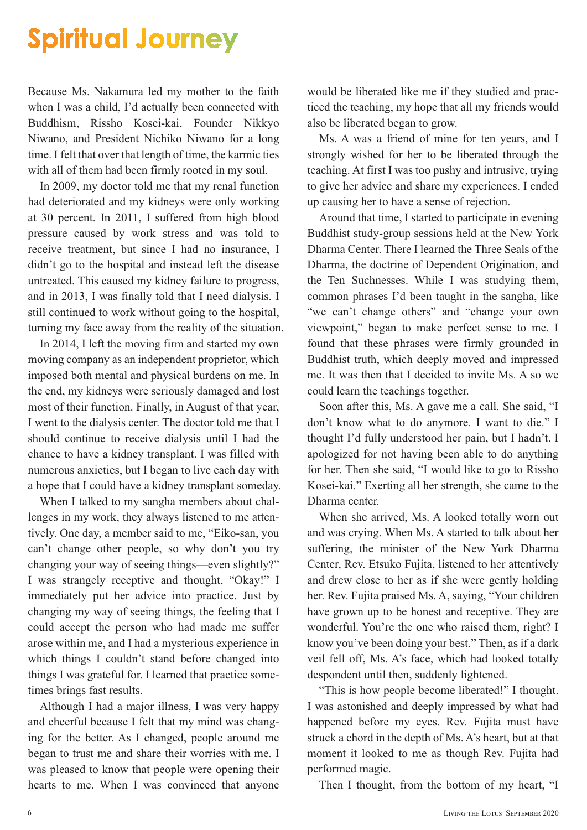Because Ms. Nakamura led my mother to the faith when I was a child, I'd actually been connected with Buddhism, Rissho Kosei-kai, Founder Nikkyo Niwano, and President Nichiko Niwano for a long time. I felt that over that length of time, the karmic ties with all of them had been firmly rooted in my soul.

In 2009, my doctor told me that my renal function had deteriorated and my kidneys were only working at 30 percent. In 2011, I suffered from high blood pressure caused by work stress and was told to receive treatment, but since I had no insurance, I didn't go to the hospital and instead left the disease untreated. This caused my kidney failure to progress, and in 2013, I was finally told that I need dialysis. I still continued to work without going to the hospital, turning my face away from the reality of the situation.

In 2014, I left the moving firm and started my own moving company as an independent proprietor, which imposed both mental and physical burdens on me. In the end, my kidneys were seriously damaged and lost most of their function. Finally, in August of that year, I went to the dialysis center. The doctor told me that I should continue to receive dialysis until I had the chance to have a kidney transplant. I was filled with numerous anxieties, but I began to live each day with a hope that I could have a kidney transplant someday.

When I talked to my sangha members about challenges in my work, they always listened to me attentively. One day, a member said to me, "Eiko-san, you can't change other people, so why don't you try changing your way of seeing things—even slightly?" I was strangely receptive and thought, "Okay!" I immediately put her advice into practice. Just by changing my way of seeing things, the feeling that I could accept the person who had made me suffer arose within me, and I had a mysterious experience in which things I couldn't stand before changed into things I was grateful for. I learned that practice sometimes brings fast results.

Although I had a major illness, I was very happy and cheerful because I felt that my mind was changing for the better. As I changed, people around me began to trust me and share their worries with me. I was pleased to know that people were opening their hearts to me. When I was convinced that anyone would be liberated like me if they studied and practiced the teaching, my hope that all my friends would also be liberated began to grow.

Ms. A was a friend of mine for ten years, and I strongly wished for her to be liberated through the teaching. At first I was too pushy and intrusive, trying to give her advice and share my experiences. I ended up causing her to have a sense of rejection.

Around that time, I started to participate in evening Buddhist study-group sessions held at the New York Dharma Center. There I learned the Three Seals of the Dharma, the doctrine of Dependent Origination, and the Ten Suchnesses. While I was studying them, common phrases I'd been taught in the sangha, like "we can't change others" and "change your own viewpoint," began to make perfect sense to me. I found that these phrases were firmly grounded in Buddhist truth, which deeply moved and impressed me. It was then that I decided to invite Ms. A so we could learn the teachings together.

Soon after this, Ms. A gave me a call. She said, "I don't know what to do anymore. I want to die." I thought I'd fully understood her pain, but I hadn't. I apologized for not having been able to do anything for her. Then she said, "I would like to go to Rissho Kosei-kai." Exerting all her strength, she came to the Dharma center.

When she arrived, Ms. A looked totally worn out and was crying. When Ms. A started to talk about her suffering, the minister of the New York Dharma Center, Rev. Etsuko Fujita, listened to her attentively and drew close to her as if she were gently holding her. Rev. Fujita praised Ms. A, saying, "Your children have grown up to be honest and receptive. They are wonderful. You're the one who raised them, right? I know you've been doing your best." Then, as if a dark veil fell off, Ms. A's face, which had looked totally despondent until then, suddenly lightened.

"This is how people become liberated!" I thought. I was astonished and deeply impressed by what had happened before my eyes. Rev. Fujita must have struck a chord in the depth of Ms. A's heart, but at that moment it looked to me as though Rev. Fujita had performed magic.

Then I thought, from the bottom of my heart, "I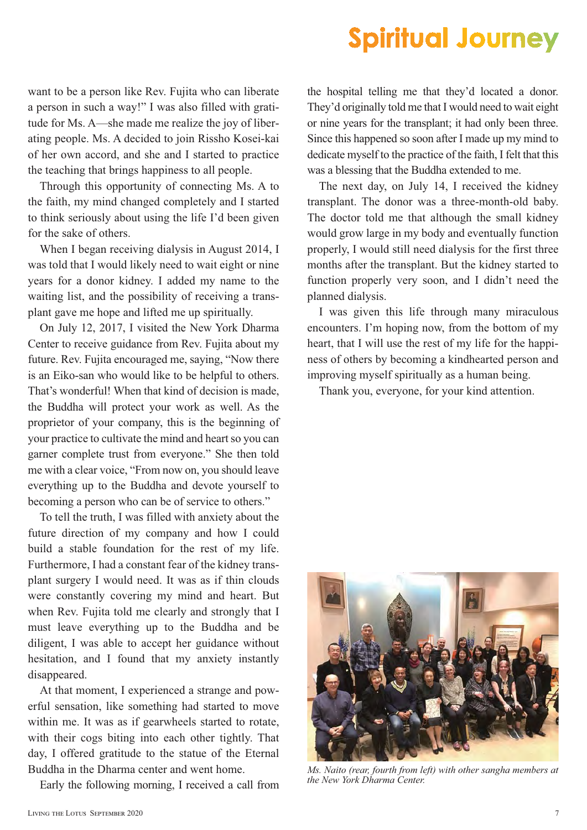want to be a person like Rev. Fujita who can liberate a person in such a way!" I was also filled with gratitude for Ms. A—she made me realize the joy of liberating people. Ms. A decided to join Rissho Kosei-kai of her own accord, and she and I started to practice the teaching that brings happiness to all people.

Through this opportunity of connecting Ms. A to the faith, my mind changed completely and I started to think seriously about using the life I'd been given for the sake of others.

When I began receiving dialysis in August 2014, I was told that I would likely need to wait eight or nine years for a donor kidney. I added my name to the waiting list, and the possibility of receiving a transplant gave me hope and lifted me up spiritually.

On July 12, 2017, I visited the New York Dharma Center to receive guidance from Rev. Fujita about my future. Rev. Fujita encouraged me, saying, "Now there is an Eiko-san who would like to be helpful to others. That's wonderful! When that kind of decision is made, the Buddha will protect your work as well. As the proprietor of your company, this is the beginning of your practice to cultivate the mind and heart so you can garner complete trust from everyone." She then told me with a clear voice, "From now on, you should leave everything up to the Buddha and devote yourself to becoming a person who can be of service to others."

To tell the truth, I was filled with anxiety about the future direction of my company and how I could build a stable foundation for the rest of my life. Furthermore, I had a constant fear of the kidney transplant surgery I would need. It was as if thin clouds were constantly covering my mind and heart. But when Rev. Fujita told me clearly and strongly that I must leave everything up to the Buddha and be diligent, I was able to accept her guidance without hesitation, and I found that my anxiety instantly disappeared.

At that moment, I experienced a strange and powerful sensation, like something had started to move within me. It was as if gearwheels started to rotate, with their cogs biting into each other tightly. That day, I offered gratitude to the statue of the Eternal Buddha in the Dharma center and went home.

Early the following morning, I received a call from

the hospital telling me that they'd located a donor. They'd originally told me that I would need to wait eight or nine years for the transplant; it had only been three. Since this happened so soon after I made up my mind to dedicate myself to the practice of the faith, I felt that this was a blessing that the Buddha extended to me.

The next day, on July 14, I received the kidney transplant. The donor was a three-month-old baby. The doctor told me that although the small kidney would grow large in my body and eventually function properly, I would still need dialysis for the first three months after the transplant. But the kidney started to function properly very soon, and I didn't need the planned dialysis.

I was given this life through many miraculous encounters. I'm hoping now, from the bottom of my heart, that I will use the rest of my life for the happiness of others by becoming a kindhearted person and improving myself spiritually as a human being.

Thank you, everyone, for your kind attention.



*Ms. Naito (rear, fourth from left) with other sangha members at the New York Dharma Center.*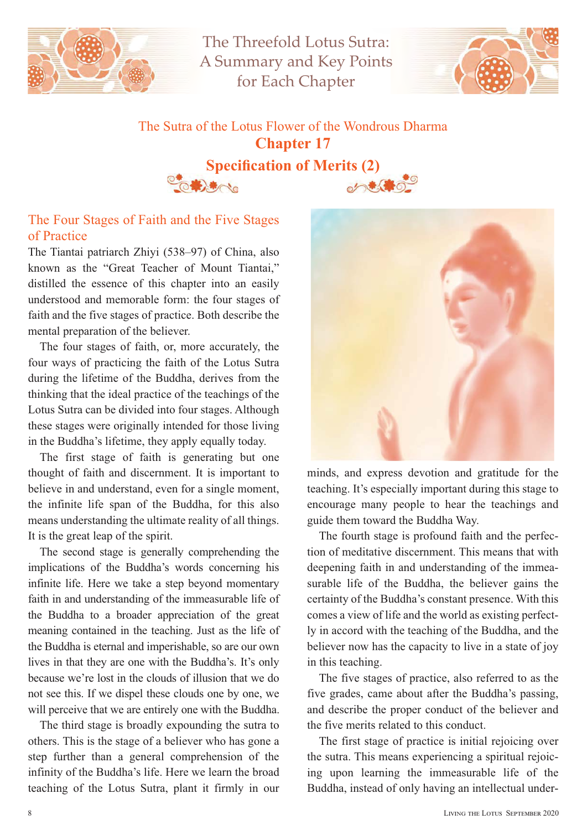

The Threefold Lotus Sutra: A Summary and Key Points for Each Chapter



## The Sutra of the Lotus Flower of the Wondrous Dharma **Chapter 17 Specification of Merits (2)**



### The Four Stages of Faith and the Five Stages of Practice

 $\frac{1}{10}$ 

The Tiantai patriarch Zhiyi (538–97) of China, also known as the "Great Teacher of Mount Tiantai," distilled the essence of this chapter into an easily understood and memorable form: the four stages of faith and the five stages of practice. Both describe the mental preparation of the believer.

The four stages of faith, or, more accurately, the four ways of practicing the faith of the Lotus Sutra during the lifetime of the Buddha, derives from the thinking that the ideal practice of the teachings of the Lotus Sutra can be divided into four stages. Although these stages were originally intended for those living in the Buddha's lifetime, they apply equally today.

The first stage of faith is generating but one thought of faith and discernment. It is important to believe in and understand, even for a single moment, the infinite life span of the Buddha, for this also means understanding the ultimate reality of all things. It is the great leap of the spirit.

The second stage is generally comprehending the implications of the Buddha's words concerning his infinite life. Here we take a step beyond momentary faith in and understanding of the immeasurable life of the Buddha to a broader appreciation of the great meaning contained in the teaching. Just as the life of the Buddha is eternal and imperishable, so are our own lives in that they are one with the Buddha's. It's only because we're lost in the clouds of illusion that we do not see this. If we dispel these clouds one by one, we will perceive that we are entirely one with the Buddha.

The third stage is broadly expounding the sutra to others. This is the stage of a believer who has gone a step further than a general comprehension of the infinity of the Buddha's life. Here we learn the broad teaching of the Lotus Sutra, plant it firmly in our



minds, and express devotion and gratitude for the teaching. It's especially important during this stage to encourage many people to hear the teachings and guide them toward the Buddha Way.

The fourth stage is profound faith and the perfection of meditative discernment. This means that with deepening faith in and understanding of the immeasurable life of the Buddha, the believer gains the certainty of the Buddha's constant presence. With this comes a view of life and the world as existing perfectly in accord with the teaching of the Buddha, and the believer now has the capacity to live in a state of joy in this teaching.

The five stages of practice, also referred to as the five grades, came about after the Buddha's passing, and describe the proper conduct of the believer and the five merits related to this conduct.

The first stage of practice is initial rejoicing over the sutra. This means experiencing a spiritual rejoicing upon learning the immeasurable life of the Buddha, instead of only having an intellectual under-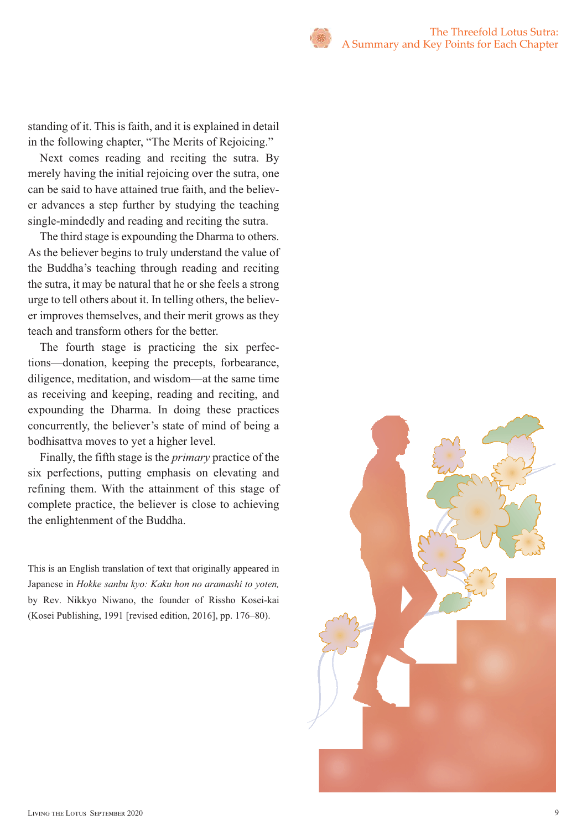standing of it. This is faith, and it is explained in detail in the following chapter, "The Merits of Rejoicing."

Next comes reading and reciting the sutra. By merely having the initial rejoicing over the sutra, one can be said to have attained true faith, and the believer advances a step further by studying the teaching single-mindedly and reading and reciting the sutra.

The third stage is expounding the Dharma to others. As the believer begins to truly understand the value of the Buddha's teaching through reading and reciting the sutra, it may be natural that he or she feels a strong urge to tell others about it. In telling others, the believer improves themselves, and their merit grows as they teach and transform others for the better.

The fourth stage is practicing the six perfections—donation, keeping the precepts, forbearance, diligence, meditation, and wisdom—at the same time as receiving and keeping, reading and reciting, and expounding the Dharma. In doing these practices concurrently, the believer's state of mind of being a bodhisattva moves to yet a higher level.

Finally, the fifth stage is the *primary* practice of the six perfections, putting emphasis on elevating and refining them. With the attainment of this stage of complete practice, the believer is close to achieving the enlightenment of the Buddha.

This is an English translation of text that originally appeared in Japanese in *Hokke sanbu kyo: Kaku hon no aramashi to yoten,*  by Rev. Nikkyo Niwano, the founder of Rissho Kosei-kai (Kosei Publishing, 1991 [revised edition, 2016], pp. 176–80).

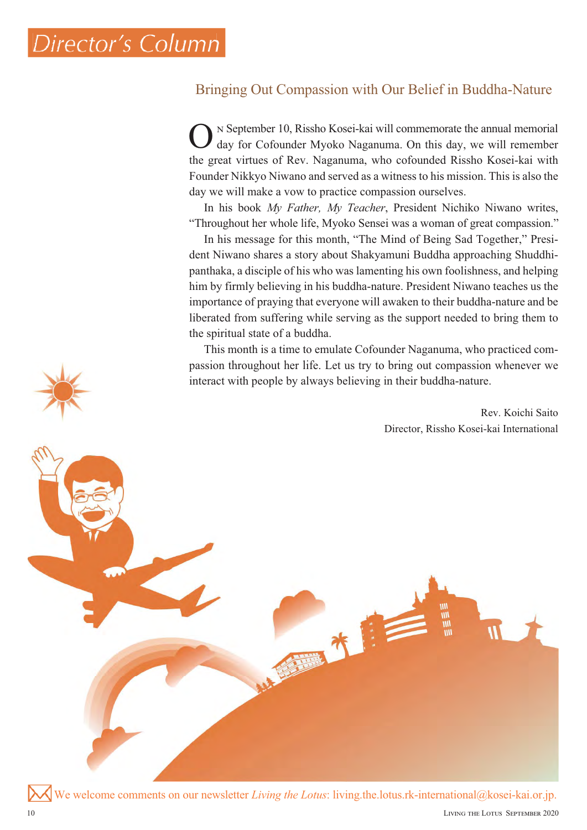## Bringing Out Compassion with Our Belief in Buddha-Nature

 September 10, Rissho Kosei-kai will commemorate the annual memorial day for Cofounder Myoko Naganuma. On this day, we will remember the great virtues of Rev. Naganuma, who cofounded Rissho Kosei-kai with Founder Nikkyo Niwano and served as a witness to his mission. This is also the day we will make a vow to practice compassion ourselves. O

In his book *My Father, My Teacher*, President Nichiko Niwano writes, "Throughout her whole life, Myoko Sensei was a woman of great compassion."

In his message for this month, "The Mind of Being Sad Together," President Niwano shares a story about Shakyamuni Buddha approaching Shuddhipanthaka, a disciple of his who was lamenting his own foolishness, and helping him by firmly believing in his buddha-nature. President Niwano teaches us the importance of praying that everyone will awaken to their buddha-nature and be liberated from suffering while serving as the support needed to bring them to the spiritual state of a buddha.

This month is a time to emulate Cofounder Naganuma, who practiced compassion throughout her life. Let us try to bring out compassion whenever we interact with people by always believing in their buddha-nature.

> Rev. Koichi Saito Director, Rissho Kosei-kai International

We welcome comments on our newsletter *Living the Lotus*: living.the.lotus.rk-international@kosei-kai.or.jp. interact with people by always believing in their buddha-nature.<br>
Birector, Rissho Kosci-A<br>Director, Rissho Kosci-A<br>Director, Rissho Kosci-A<br>Director, Rissho Kosci-A<br>Director, Rissho Kosci-A<br>L-C-A<br>L-C-A<br>L-C-A<br>L-C-A<br>L-C-A<br>L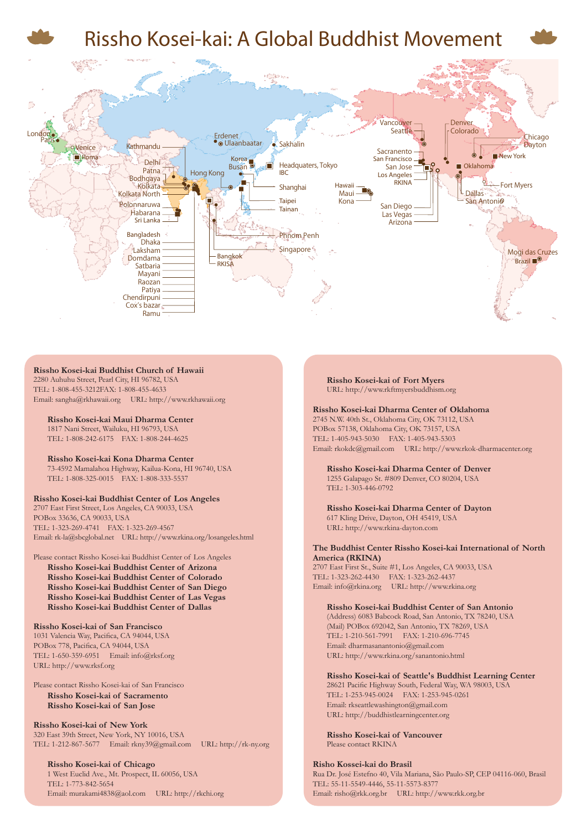

#### **Rissho Kosei-kai Buddhist Church of Hawaii** 2280 Auhuhu Street, Pearl City, HI 96782, USA

TEL: 1-808-455-3212FAX: 1-808-455-4633 Email: sangha@rkhawaii.org URL: http://www.rkhawaii.org

**Rissho Kosei-kai Maui Dharma Center** 1817 Nani Street, Wailuku, HI 96793, USA TEL: 1-808-242-6175 FAX: 1-808-244-4625

#### **Rissho Kosei-kai Kona Dharma Center** 73-4592 Mamalahoa Highway, Kailua-Kona, HI 96740, USA TEL: 1-808-325-0015 FAX: 1-808-333-5537

#### **Rissho Kosei-kai Buddhist Center of Los Angeles**

2707 East First Street, Los Angeles, CA 90033, USA POBox 33636, CA 90033, USA TEL: 1-323-269-4741 FAX: 1-323-269-4567 Email: rk-la@sbcglobal.net URL: http://www.rkina.org/losangeles.html

#### Please contact Rissho Kosei-kai Buddhist Center of Los Angeles

**Rissho Kosei-kai Buddhist Center of Arizona Rissho Kosei-kai Buddhist Center of Colorado Rissho Kosei-kai Buddhist Center of San Diego Rissho Kosei-kai Buddhist Center of Las Vegas Rissho Kosei-kai Buddhist Center of Dallas**

#### **Rissho Kosei-kai of San Francisco**

1031 Valencia Way, Pacifica, CA 94044, USA POBox 778, Pacifica, CA 94044, USA TEL: 1-650-359-6951 Email: info@rksf.org URL: http://www.rksf.org

Please contact Rissho Kosei-kai of San Francisco **Rissho Kosei-kai of Sacramento Rissho Kosei-kai of San Jose**

#### **Rissho Kosei-kai of New York** 320 East 39th Street, New York, NY 10016, USA TEL: 1-212-867-5677 Email: rkny39@gmail.com URL: http://rk-ny.org

**Rissho Kosei-kai of Chicago** 1 West Euclid Ave., Mt. Prospect, IL 60056, USA TEL: 1-773-842-5654 Email: murakami4838@aol.com URL: http://rkchi.org **Rissho Kosei-kai of Fort Myers** URL: http://www.rkftmyersbuddhism.org

#### **Rissho Kosei-kai Dharma Center of Oklahoma**

2745 N.W. 40th St., Oklahoma City, OK 73112, USA POBox 57138, Oklahoma City, OK 73157, USA TEL: 1-405-943-5030 FAX: 1-405-943-5303 Email: rkokdc@gmail.com URL: http://www.rkok-dharmacenter.org

**Rissho Kosei-kai Dharma Center of Denver** 1255 Galapago St. #809 Denver, CO 80204, USA TEL: 1-303-446-0792

**Rissho Kosei-kai Dharma Center of Dayton** 617 Kling Drive, Dayton, OH 45419, USA URL: http://www.rkina-dayton.com

#### **The Buddhist Center Rissho Kosei-kai International of North America (RKINA)**

2707 East First St., Suite #1, Los Angeles, CA 90033, USA TEL: 1-323-262-4430 FAX: 1-323-262-4437 Email: info@rkina.org URL: http://www.rkina.org

#### **Rissho Kosei-kai Buddhist Center of San Antonio**

(Address) 6083 Babcock Road, San Antonio, TX 78240, USA (Mail) POBox 692042, San Antonio, TX 78269, USA TEL: 1-210-561-7991 FAX: 1-210-696-7745 Email: dharmasanantonio@gmail.com URL: http://www.rkina.org/sanantonio.html

#### **Rissho Kosei-kai of Seattle's Buddhist Learning Center**

28621 Pacific Highway South, Federal Way, WA 98003, USA TEL: 1-253-945-0024 FAX: 1-253-945-0261 Email: rkseattlewashington@gmail.com URL: http://buddhistlearningcenter.org

**Rissho Kosei-kai of Vancouver** Please contact RKINA

#### **Risho Kossei-kai do Brasil**

Rua Dr. José Estefno 40, Vila Mariana, São Paulo-SP, CEP 04116-060, Brasil TEL: 55-11-5549-4446, 55-11-5573-8377 Email: risho@rkk.org.br URL: http://www.rkk.org.br